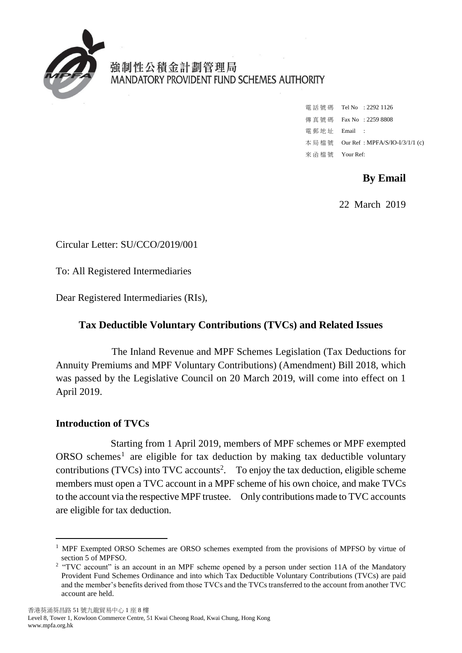

強制性公積金計劃管理局 MANDATORY PROVIDENT FUND SCHEMES AUTHORITY

> 電 話 號 碼 Tel No : 2292 1126 傳 真 號 碼 Fax No : 2259 8808 電 郵 地 址 Email : 本 局 檔 號 Our Ref : MPFA/S/IO-I/3/1/1 (c) 來 函 檔 號 Your Ref:

> > **By Email**

22 March 2019

Circular Letter: SU/CCO/2019/001

To: All Registered Intermediaries

Dear Registered Intermediaries (RIs),

# **Tax Deductible Voluntary Contributions (TVCs) and Related Issues**

The Inland Revenue and MPF Schemes Legislation (Tax Deductions for Annuity Premiums and MPF Voluntary Contributions) (Amendment) Bill 2018, which was passed by the Legislative Council on 20 March 2019, will come into effect on 1 April 2019.

# **Introduction of TVCs**

-

Starting from 1 April 2019, members of MPF schemes or MPF exempted  $ORSO$  schemes<sup>1</sup> are eligible for tax deduction by making tax deductible voluntary contributions (TVCs) into TVC accounts<sup>2</sup>. To enjoy the tax deduction, eligible scheme members must open a TVC account in a MPF scheme of his own choice, and make TVCs to the account via the respective MPF trustee. Only contributions made to TVC accounts are eligible for tax deduction.

 $<sup>1</sup>$  MPF Exempted ORSO Schemes are ORSO schemes exempted from the provisions of MPFSO by virtue of</sup> section 5 of MPFSO.

<sup>&</sup>lt;sup>2</sup> "TVC account" is an account in an MPF scheme opened by a person under section 11A of the Mandatory Provident Fund Schemes Ordinance and into which Tax Deductible Voluntary Contributions (TVCs) are paid and the member's benefits derived from those TVCs and the TVCs transferred to the account from another TVC account are held.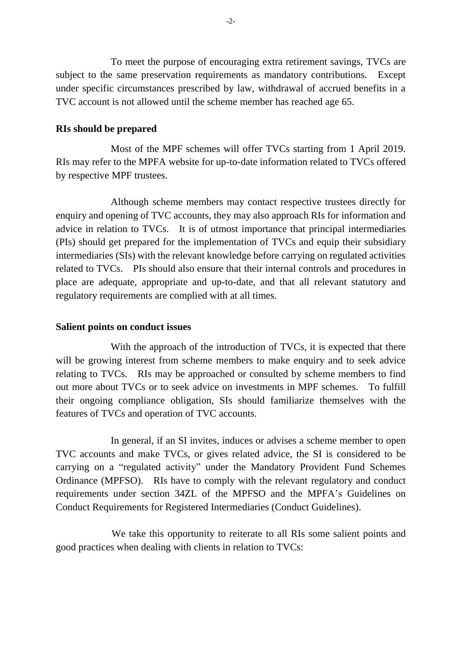To meet the purpose of encouraging extra retirement savings, TVCs are subject to the same preservation requirements as mandatory contributions. Except under specific circumstances prescribed by law, withdrawal of accrued benefits in a TVC account is not allowed until the scheme member has reached age 65.

### **RIs should be prepared**

Most of the MPF schemes will offer TVCs starting from 1 April 2019. RIs may refer to the MPFA website for up-to-date information related to TVCs offered by respective MPF trustees.

Although scheme members may contact respective trustees directly for enquiry and opening of TVC accounts, they may also approach RIs for information and advice in relation to TVCs. It is of utmost importance that principal intermediaries (PIs) should get prepared for the implementation of TVCs and equip their subsidiary intermediaries (SIs) with the relevant knowledge before carrying on regulated activities related to TVCs. PIs should also ensure that their internal controls and procedures in place are adequate, appropriate and up-to-date, and that all relevant statutory and regulatory requirements are complied with at all times.

### **Salient points on conduct issues**

With the approach of the introduction of TVCs, it is expected that there will be growing interest from scheme members to make enquiry and to seek advice relating to TVCs. RIs may be approached or consulted by scheme members to find out more about TVCs or to seek advice on investments in MPF schemes. To fulfill their ongoing compliance obligation, SIs should familiarize themselves with the features of TVCs and operation of TVC accounts.

In general, if an SI invites, induces or advises a scheme member to open TVC accounts and make TVCs, or gives related advice, the SI is considered to be carrying on a "regulated activity" under the Mandatory Provident Fund Schemes Ordinance (MPFSO). RIs have to comply with the relevant regulatory and conduct requirements under section 34ZL of the MPFSO and the MPFA's Guidelines on Conduct Requirements for Registered Intermediaries (Conduct Guidelines).

We take this opportunity to reiterate to all RIs some salient points and good practices when dealing with clients in relation to TVCs: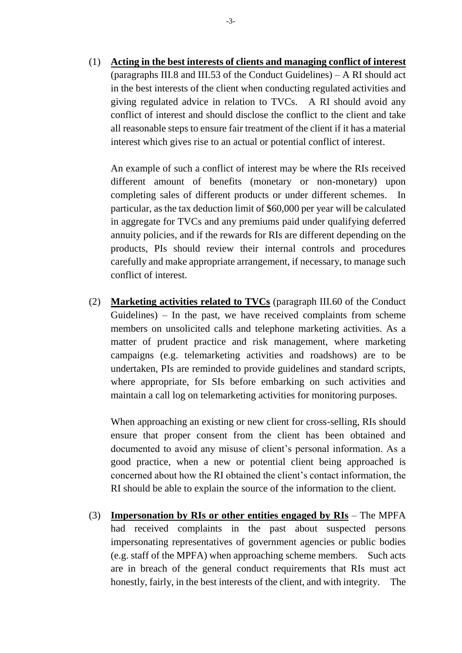(1) **Acting in the best interests of clients and managing conflict of interest** (paragraphs III.8 and III.53 of the Conduct Guidelines) – A RI should act in the best interests of the client when conducting regulated activities and giving regulated advice in relation to TVCs. A RI should avoid any conflict of interest and should disclose the conflict to the client and take all reasonable steps to ensure fair treatment of the client if it has a material interest which gives rise to an actual or potential conflict of interest.

An example of such a conflict of interest may be where the RIs received different amount of benefits (monetary or non-monetary) upon completing sales of different products or under different schemes. In particular, as the tax deduction limit of \$60,000 per year will be calculated in aggregate for TVCs and any premiums paid under qualifying deferred annuity policies, and if the rewards for RIs are different depending on the products, PIs should review their internal controls and procedures carefully and make appropriate arrangement, if necessary, to manage such conflict of interest.

(2) **Marketing activities related to TVCs** (paragraph III.60 of the Conduct Guidelines) – In the past, we have received complaints from scheme members on unsolicited calls and telephone marketing activities. As a matter of prudent practice and risk management, where marketing campaigns (e.g. telemarketing activities and roadshows) are to be undertaken, PIs are reminded to provide guidelines and standard scripts, where appropriate, for SIs before embarking on such activities and maintain a call log on telemarketing activities for monitoring purposes.

When approaching an existing or new client for cross-selling, RIs should ensure that proper consent from the client has been obtained and documented to avoid any misuse of client's personal information. As a good practice, when a new or potential client being approached is concerned about how the RI obtained the client's contact information, the RI should be able to explain the source of the information to the client.

(3) **Impersonation by RIs or other entities engaged by RIs** – The MPFA had received complaints in the past about suspected persons impersonating representatives of government agencies or public bodies (e.g. staff of the MPFA) when approaching scheme members. Such acts are in breach of the general conduct requirements that RIs must act honestly, fairly, in the best interests of the client, and with integrity. The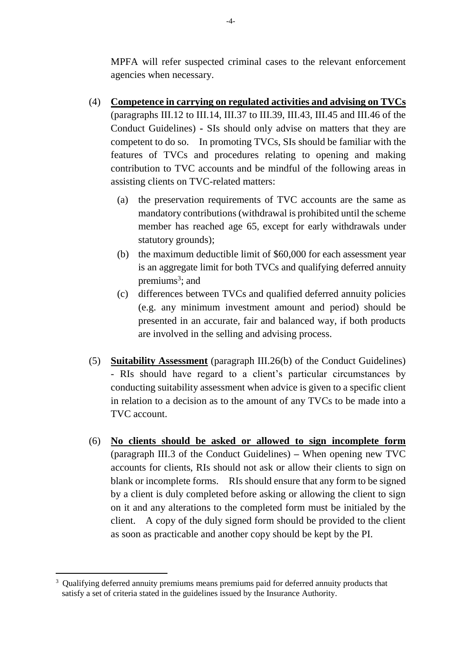MPFA will refer suspected criminal cases to the relevant enforcement agencies when necessary.

- (4) **Competence in carrying on regulated activities and advising on TVCs**  (paragraphs III.12 to III.14, III.37 to III.39, III.43, III.45 and III.46 of the Conduct Guidelines) **-** SIs should only advise on matters that they are competent to do so. In promoting TVCs, SIs should be familiar with the features of TVCs and procedures relating to opening and making contribution to TVC accounts and be mindful of the following areas in assisting clients on TVC-related matters:
	- (a) the preservation requirements of TVC accounts are the same as mandatory contributions (withdrawal is prohibited until the scheme member has reached age 65, except for early withdrawals under statutory grounds);
	- (b) the maximum deductible limit of \$60,000 for each assessment year is an aggregate limit for both TVCs and qualifying deferred annuity premiums<sup>3</sup>; and
	- (c) differences between TVCs and qualified deferred annuity policies (e.g. any minimum investment amount and period) should be presented in an accurate, fair and balanced way, if both products are involved in the selling and advising process.
- (5) **Suitability Assessment** (paragraph III.26(b) of the Conduct Guidelines) - RIs should have regard to a client's particular circumstances by conducting suitability assessment when advice is given to a specific client in relation to a decision as to the amount of any TVCs to be made into a TVC account.
- (6) **No clients should be asked or allowed to sign incomplete form** (paragraph III.3 of the Conduct Guidelines) **–** When opening new TVC accounts for clients, RIs should not ask or allow their clients to sign on blank or incomplete forms. RIs should ensure that any form to be signed by a client is duly completed before asking or allowing the client to sign on it and any alterations to the completed form must be initialed by the client. A copy of the duly signed form should be provided to the client as soon as practicable and another copy should be kept by the PI.

 $\overline{a}$ 

<sup>&</sup>lt;sup>3</sup> Qualifying deferred annuity premiums means premiums paid for deferred annuity products that satisfy a set of criteria stated in the guidelines issued by the Insurance Authority.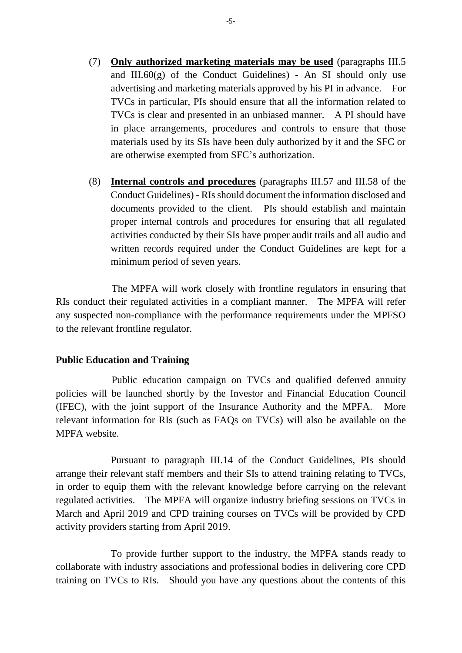- (7) **Only authorized marketing materials may be used** (paragraphs III.5 and III.60(g) of the Conduct Guidelines) **-** An SI should only use advertising and marketing materials approved by his PI in advance. For TVCs in particular, PIs should ensure that all the information related to TVCs is clear and presented in an unbiased manner. A PI should have in place arrangements, procedures and controls to ensure that those materials used by its SIs have been duly authorized by it and the SFC or are otherwise exempted from SFC's authorization.
- (8) **Internal controls and procedures** (paragraphs III.57 and III.58 of the Conduct Guidelines) **-** RIs should document the information disclosed and documents provided to the client. PIs should establish and maintain proper internal controls and procedures for ensuring that all regulated activities conducted by their SIs have proper audit trails and all audio and written records required under the Conduct Guidelines are kept for a minimum period of seven years.

The MPFA will work closely with frontline regulators in ensuring that RIs conduct their regulated activities in a compliant manner. The MPFA will refer any suspected non-compliance with the performance requirements under the MPFSO to the relevant frontline regulator.

### **Public Education and Training**

Public education campaign on TVCs and qualified deferred annuity policies will be launched shortly by the Investor and Financial Education Council (IFEC), with the joint support of the Insurance Authority and the MPFA. More relevant information for RIs (such as FAQs on TVCs) will also be available on the MPFA website.

Pursuant to paragraph III.14 of the Conduct Guidelines, PIs should arrange their relevant staff members and their SIs to attend training relating to TVCs, in order to equip them with the relevant knowledge before carrying on the relevant regulated activities. The MPFA will organize industry briefing sessions on TVCs in March and April 2019 and CPD training courses on TVCs will be provided by CPD activity providers starting from April 2019.

To provide further support to the industry, the MPFA stands ready to collaborate with industry associations and professional bodies in delivering core CPD training on TVCs to RIs. Should you have any questions about the contents of this